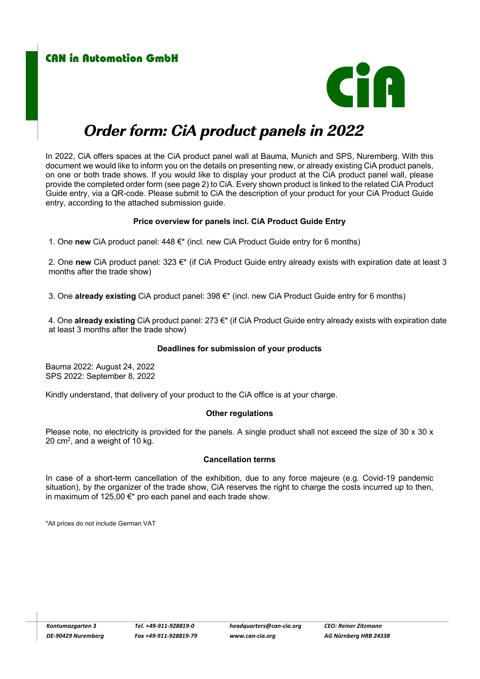

# **Order****form:****CiA****product****panels****in****2022**

In 2022, CiA offers spaces at the CiA product panel wall at Bauma, Munich and SPS, Nuremberg. With this document we would like to inform you on the details on presenting new, or already existing CiA product panels, on one or both trade shows. If you would like to display your product at the CiA product panel wall, please provide the completed order form (see page 2) to CiA. Every shown product is linked to the related CiA Product Guide entry, via a QR-code. Please submit to CiA the description of your product for your CiA Product Guide entry, according to the attached submission guide.

#### **Price overview for panels incl. CiA Product Guide Entry**

1. One **new** CiA product panel: 448 €\* (incl. new CiA Product Guide entry for 6 months)

2. One **new** CiA product panel: 323 €\* (if CiA Product Guide entry already exists with expiration date at least 3 months after the trade show)

3. One **already existing** CiA product panel: 398 €\* (incl. new CiA Product Guide entry for 6 months)

4. One **already existing** CiA product panel: 273 €\* (if CiA Product Guide entry already exists with expiration date at least 3 months after the trade show)

#### **Deadlines for submission of your products**

Bauma 2022: August 24, 2022 SPS 2022: September 8, 2022

Kindly understand, that delivery of your product to the CiA office is at your charge.

#### **Other regulations**

Please note, no electricity is provided for the panels. A single product shall not exceed the size of  $30 \times 30 \times$ 20 cm2, and a weight of 10 kg.

#### **Cancellation terms**

In case of a short-term cancellation of the exhibition, due to any force majeure (e.g. Covid-19 pandemic situation), by the organizer of the trade show, CiA reserves the right to charge the costs incurred up to then, in maximum of 125,00  $\epsilon$ \* pro each panel and each trade show.

\*All prices do not include German VAT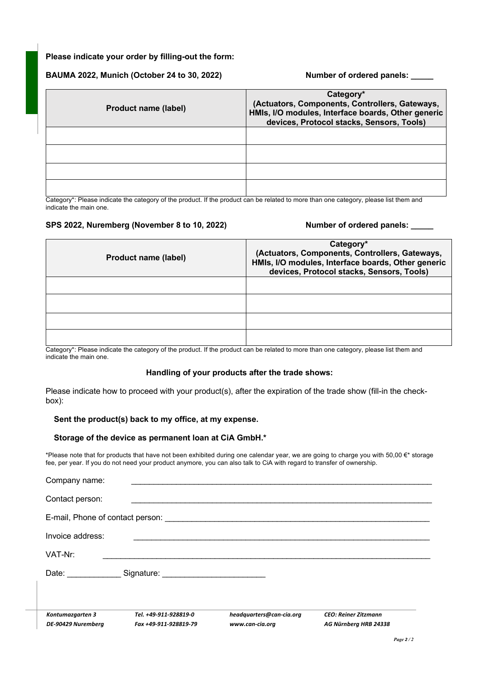#### **Please indicate your order by filling-out the form:**

#### BAUMA 2022, Munich (October 24 to 30, 2022) Number of ordered panels:

| Product name (label) | Category*<br>(Actuators, Components, Controllers, Gateways,<br>HMIs, I/O modules, Interface boards, Other generic<br>devices, Protocol stacks, Sensors, Tools) |
|----------------------|----------------------------------------------------------------------------------------------------------------------------------------------------------------|
|                      |                                                                                                                                                                |
|                      |                                                                                                                                                                |
|                      |                                                                                                                                                                |
|                      |                                                                                                                                                                |

Category\*: Please indicate the category of the product. If the product can be related to more than one category, please list them and indicate the main one.

#### SPS 2022, Nuremberg (November 8 to 10, 2022) Number of ordered panels:

| <b>Product name (label)</b> | Category*<br>(Actuators, Components, Controllers, Gateways,<br>HMIs, I/O modules, Interface boards, Other generic<br>devices, Protocol stacks, Sensors, Tools) |
|-----------------------------|----------------------------------------------------------------------------------------------------------------------------------------------------------------|
|                             |                                                                                                                                                                |
|                             |                                                                                                                                                                |
|                             |                                                                                                                                                                |
|                             |                                                                                                                                                                |

Category\*: Please indicate the category of the product. If the product can be related to more than one category, please list them and indicate the main one.

#### **Handling of your products after the trade shows:**

Please indicate how to proceed with your product(s), after the expiration of the trade show (fill-in the checkbox):

#### **Sent the product(s) back to my office, at my expense.**

#### **Storage of the device as permanent loan at CiA GmbH.\***

\*Please note that for products that have not been exhibited during one calendar year, we are going to charge you with 50,00 €\* storage fee, per year. If you do not need your product anymore, you can also talk to CiA with regard to transfer of ownership.

| Company name:                                                                                                   |                       |                          |                             |  |
|-----------------------------------------------------------------------------------------------------------------|-----------------------|--------------------------|-----------------------------|--|
| Contact person:                                                                                                 |                       |                          |                             |  |
|                                                                                                                 |                       |                          |                             |  |
| Invoice address:                                                                                                |                       |                          |                             |  |
| VAT-Nr:                                                                                                         |                       |                          |                             |  |
| Date: and the part of the state of the state of the state of the state of the state of the state of the state o |                       |                          |                             |  |
|                                                                                                                 |                       |                          |                             |  |
| Kontumazgarten 3                                                                                                | Tel. +49-911-928819-0 | headquarters@can-cia.org | <b>CEO: Reiner Zitzmann</b> |  |
| DE-90429 Nuremberg                                                                                              | Fax +49-911-928819-79 | www.can-cia.org          | AG Nürnberg HRB 24338       |  |
|                                                                                                                 |                       |                          | $P_{000}$ 2/2               |  |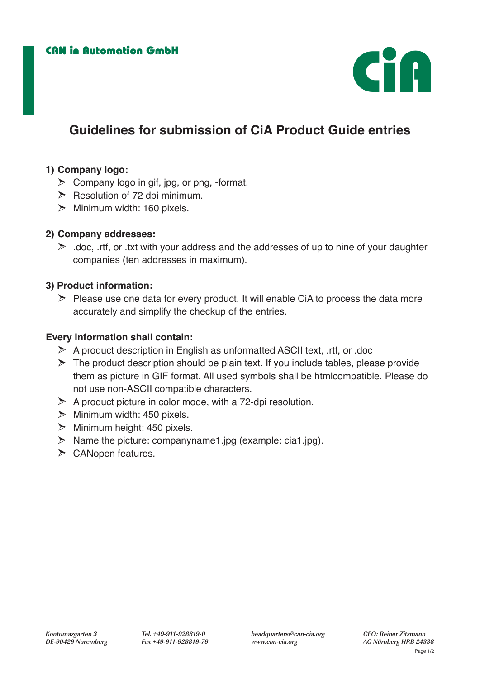

## **Guidelines for submission of CiA Product Guide entries**

## **1) Company logo:**

- $\geq$  Company logo in gif, ipg, or png. -format.
- $\triangleright$  Resolution of 72 dpi minimum.
- $\triangleright$  Minimum width: 160 pixels.

## **2) Company addresses:**

 $\geq$  .doc, .rtf, or .txt with your address and the addresses of up to nine of your daughter companies (ten addresses in maximum).

## **3) Product information:**

 $\triangleright$  Please use one data for every product. It will enable CiA to process the data more accurately and simplify the checkup of the entries.

### **Every information shall contain:**

- $\geq$  A product description in English as unformatted ASCII text, .rtf, or .doc
- $\triangleright$  The product description should be plain text. If you include tables, please provide them as picture in GIF format. All used symbols shall be htmlcompatible. Please do not use non-ASCII compatible characters.
- $\geq$  A product picture in color mode, with a 72-dpi resolution.
- ➣ Minimum width: 450 pixels.
- ➣ Minimum height: 450 pixels.
- $\triangleright$  Name the picture: companyname1.jpg (example: cia1.jpg).
- ➣ CANopen features.